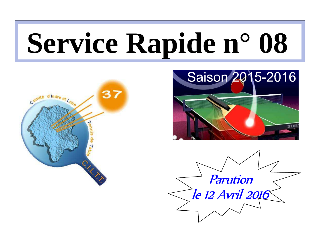# **Service Rapide n° 08**





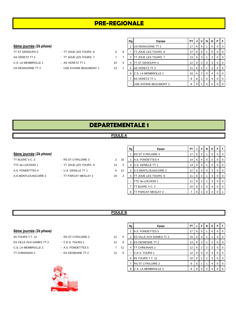# **PRE-REGIONALE**

#### 6ème journée (2è phase)

TT ST GENOUPH 3 - TT JOUE LES TOURS 8 6 AS VERETZ TT 2 - TT JOUE LES TOURS 7 7 7 3 TT JOUE LES TOURS 7 13 6 3 1 2 0 0 C.S. LA MEMBROLLE 1 - AS VERETZ TT 1 10 4 10 US RENAUDINE TT 2 - USE AVOINE-BEAUMONT 2 13

- 
- - -

|                | Rg | Equipe                | PТ |   | ν              | N        | D        | Р        | F        |
|----------------|----|-----------------------|----|---|----------------|----------|----------|----------|----------|
|                | 1  | US RENAUDINE TT 2     | 17 | 6 | 5              | 1        | $\Omega$ | $\Omega$ | $\Omega$ |
| 8              |    | TT JOUE LES TOURS 8   | 17 | 6 | 5              | 1        | $\Omega$ | $\Omega$ | $\Omega$ |
|                | 3  | TT JOUE LES TOURS 7   | 13 | 6 | 3              | 1        | 2        | 0        | $\Omega$ |
| $\overline{4}$ | 4  | TT ST GENOUPH 3       | 12 | 6 | 3              | $\Omega$ | 3        | $\Omega$ | $\Omega$ |
| 1              | 5  | AS VERETZ TT 2        | 11 | 6 | 2              | 1        | 3        | $\Omega$ | $\Omega$ |
|                | 6  | C.S. LA MEMBROLLE 1   | 10 | 6 | $\overline{2}$ | $\Omega$ | 4        | 0        | $\Omega$ |
|                | 7  | AS VERETZ TT 1        | 8  | 6 | 1              | $\Omega$ | 5        | $\Omega$ | $\Omega$ |
|                |    | USE AVOINE-BEAUMONT 2 | 8  | 6 |                | 0        | 5        | $\Omega$ | $\Omega$ |

# **DEPARTEMENTALE 1**

#### **POULE A**

#### 6ème journée (2è phase)

TT BLERE V.C. 2  $-$  RS ST CYR/LOIRE 3 2 16 A.S. FONDETTES 4 - U.S. GENILLE TT 1 6 12 A.S MONTLOUIS/LOIRE 2 - TT PARCAY MESLAY 2 16

- TTC du LOCHOIS 1 TT JOUE LES TOURS 9 13
	-

|                | Rg | Equipe                   | PT | J | ٧              | N        | D | P        | F        |
|----------------|----|--------------------------|----|---|----------------|----------|---|----------|----------|
|                |    | <b>RS ST CYR/LOIRE 3</b> | 17 | 6 | 5              | 1        | 0 | 0        | $\Omega$ |
| 6              | 2  | A.S. FONDETTES 4         | 14 | 6 | 4              | 0        | 2 | 0        | $\Omega$ |
| 5              | 3  | U.S. GENILLE TT 1        | 13 | 6 | 3              | 1        | 2 | 0        | $\Omega$ |
| 2              | 4  | A.S MONTLOUIS/LOIRE 2    | 12 | 6 | 3              | 0        | 3 | 0        | $\Omega$ |
| $\overline{2}$ | 5  | TT JOUE LES TOURS 9      | 11 | 6 | 2              | 1        | 3 | $\Omega$ | $\Omega$ |
|                | -  | TTC du LOCHOIS 1         | 11 | 6 | $\overline{2}$ | 1        | 3 | 0        | $\Omega$ |
|                | 7  | BLERE V.C. 2             | 10 | 6 | $\overline{2}$ | $\Omega$ | 4 | $\Omega$ | $\Omega$ |
|                | 8  | TT PARCAY MESLAY 2       | 7  | 6 | 1              | 0        | 4 | 0        |          |

## **POULE B**

|  |  |  | - RS ST CYR/LOIR |  |
|--|--|--|------------------|--|
|  |  |  |                  |  |

- 
- -



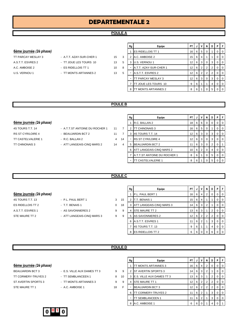## **POULE A**

#### 6ème journée (2è phase)

- TT PARCAY MESLAY 3 A.T.T. AZAY-SUR-CHER 1 15 A.S.T.T. ESVRES 2 - TT JOUE LES TOURS 10 13
	-
- A.C. AMBOISE 2 ES RIDELLOIS TT 1 10 10
- U.S. VERNOU 1 <sup>-</sup> TT MONTS ARTANNES 2 13

|   | Rg | Equipe                   | PT | J | v | N        | D | P        | F        |
|---|----|--------------------------|----|---|---|----------|---|----------|----------|
|   |    | <b>ES RIDELLOIS TT 1</b> | 16 | 6 | 5 | $\Omega$ | 1 | $\Omega$ | $\Omega$ |
| 3 | 2  | A.C. AMBOISE 2           | 15 | 6 | 4 | 1        | 1 | 0        | 0        |
| 5 | 3  | U.S. VERNOU 1            | 12 | 6 | 3 | $\Omega$ | 3 | 0        | 0        |
| 8 |    | A.T.T. AZAY-SUR-CHER 1   | 12 | 6 | 2 | 2        | 2 | 0        | $\Omega$ |
| 5 |    | A.S.T.T. ESVRES 2        | 12 | 6 | 2 | 2        | 2 | $\Omega$ | 0        |
|   |    | TT PARCAY MESLAY 3       | 12 | 6 | 3 | $\Omega$ | 3 | 0        | $\Omega$ |
|   | 7  | TT JOUE LES TOURS 10     | 9  | 6 | 1 | 1        | 4 | $\Omega$ | $\Omega$ |
|   | 8  | TT MONTS ARTANNES 2      | 8  | 6 |   | 0        | 5 | 0        | $\Omega$ |

#### **POULE B**

#### **6ème journée** (2è phase)

- 4S TOURS T.T. 14 A.T.T.ST ANTOINE DU ROCHER 1 11 7
- RS ST CYR/LOIRE 4 BEAUJARDIN BCT 2 11 7
- TT CASTELVALERIE 1 R.C. BALLAN 2 4 14
- TT CHINONAIS 3 ATT LANGEAIS-CINQ MARS 2 14 4

| Rg | Equipe                       | PT | J | v | N | D              | Р | F        |
|----|------------------------------|----|---|---|---|----------------|---|----------|
| 1  | R.C. BALLAN 2                | 18 | 6 | 6 | 0 | 0              | O | 0        |
| 2  | <b>TT CHINONAIS 3</b>        | 16 | 6 | 5 | 0 |                | O | 0        |
| 3  | 4S TOURS T.T. 14             | 12 | 6 | 3 | 0 | 3              | O | 0        |
| -  | <b>IRS ST CYR/LOIRE 4</b>    | 12 | 6 | 3 | 0 | 3              | 0 | $\Omega$ |
| 5  | <b>BEAUJARDIN BCT 2</b>      | 11 | 6 | 3 | 0 | $\overline{2}$ | 0 |          |
| 6  | ATT LANGEAIS-CINQ MARS 2     | 10 | 6 | 2 | 0 | 4              | Ω | $\Omega$ |
| 7  | A.T.T.ST ANTOINE DU ROCHER 1 | 8  | 6 |   | 0 | 5              | 0 | 0        |
|    | TT CASTELVALERIE 1           | 8  | 6 |   |   | 5              |   |          |

#### **POULE C**

|                     | 6ème journée (2è phase) |  |  |  |  |  |  |  |  |  |
|---------------------|-------------------------|--|--|--|--|--|--|--|--|--|
| $10.701100.77$ $10$ |                         |  |  |  |  |  |  |  |  |  |

- 
- 
- A.S.T.T. ESVRES 1 AS SAVONNIERES 2 9
- STE MAURE TT 2 ATT LANGEAIS-CINQ MARS 3 9

|                                |                            |   |    | Rg | Equipe                     | <b>PT</b>       |     |   | N I            | D            | PF        |
|--------------------------------|----------------------------|---|----|----|----------------------------|-----------------|-----|---|----------------|--------------|-----------|
| <u>6ème journée (2è phase)</u> |                            |   |    |    | P.L. PAUL BERT 1           | 16              | 6   | 4 | $\overline{2}$ | U.           | $0$   $0$ |
| 4S TOURS T.T. 13               | - P.L. PAUL BERT 1         | 3 | 15 |    | T.T. BENAIS 1              | 15              | -6  | 4 |                |              | $0$   $0$ |
| ES RIDELLOIS TT 2              | - T.T. BENAIS 1            | 0 | 18 |    | 3 ATT LANGEAIS-CINQ MARS 3 | 14              | - 6 | 3 | 2              |              | $0$   $0$ |
| A.S.T.T. ESVRES 1              | - AS SAVONNIERES 2         | 9 | 9  |    | 4 ISTE MAURE TT 2          | 13 <sup>1</sup> | -6  | 3 |                | $\mathbf{2}$ | $0$   $0$ |
| STE MAURE TT 2                 | - ATT LANGEAIS-CINQ MARS 3 | 9 | 9  |    | 5 AS SAVONNIERES 2         | 12              | 6   | 2 | 2              | $\mathbf{2}$ | $0$   $0$ |
|                                |                            |   |    |    | 6 A.S.T.T. ESVRES 1        |                 | -6  | 2 |                | 3            | $0$   $0$ |
|                                |                            |   |    |    | 4S TOURS T.T. 13           | 9               | b   |   |                | 4            | $0$   $0$ |
|                                |                            |   |    | 8  | <b>IES RIDELLOIS TT 2</b>  | 6               |     |   |                | 6            | 0 1 0     |

#### **POULE D**

- 
- 
- 
- 
- Rg **PT | J | V | N | D | P | F 6ème journée (2è phase)** 1 TT MONTS ARTANNES 3 16 6 4 2 0 0 0 BEAUJARDIN BCT 3 - E.S. VILLE AUX DAMES TT 3 9 9 2 ST AVERTIN SPORTS 3  $\begin{bmatrix} 14 & 6 & 3 & 2 & 1 & 0 & 0 \\ 0 & 3 & 2 & 1 & 0 & 0 & 0 \\ 0 & 0 & 0 & 0 & 0 & 0 & 0 \\ 0 & 0 & 0 & 0 & 0 & 0 & 0 \\ 0 & 0 & 0 & 0 & 0 & 0 & 0 \\ 0 & 0 & 0 & 0 & 0 & 0 & 0 \\ 0 & 0 & 0 & 0 & 0 &$ TT CORMERY-TRUYES 2 - TT SEMBLANCEEN 1 8 10 3 E.S. VILLE AUX DAMES TT 3  $13 \mid 6 \mid 3 \mid 1 \mid 2 \mid 0 \mid 0$ ST AVERTIN SPORTS 3 - TT MONTS ARTANNES 3 9 9 4 STE MAURE TT 1 12 6 2 2 2 0 0 STE MAURE TT 1  $A.C.$  AMBOISE 1 18 F  $\vert$  - BEAUJARDIN BCT 3  $\vert 12 \vert 6 \vert 2 \vert 2 \vert 2 \vert 0 \vert 0$ 6 TT CORMERY-TRUYES 2 11 6 2 1 3 0 0 TT SEMBLANCEEN 1 11 6 2 1 3 0 0 8 A.C. AMBOISE 1 6 6 0 1 4 0



- 
- 
- 
- 
- 4S TOURS T.T. 13 P.L. PAUL BERT 1 3 1: ES RIDELLOIS TT 2 <sup>-</sup> T.T. BENAIS 1 0 1
	-
- 
-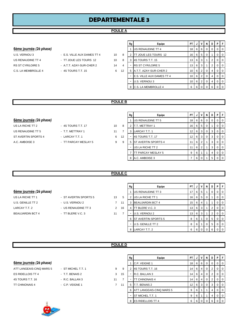#### **POULE A**

#### 6ème journée (2è phase)

- RS ST CYR/LOIRE 5 A.T.T. AZAY-SUR-CHER 2 14 C.S. LA MEMBROLLE 4 - 4S TOURS T.T. 15 6
- U.S. VERNOU 3 E.S. VILLE AUX DAMES TT 4 2 2 10 US RENAUDINE TT 4 - TT JOUE LES TOURS 12 3 10
	-

|    | Rg | Equipe                    | PT | J | v              | N        | D        | P        | F        |
|----|----|---------------------------|----|---|----------------|----------|----------|----------|----------|
|    |    | US RENAUDINE TT 4         | 18 | 6 | 6              | $\Omega$ | $\Omega$ | 0        | $\Omega$ |
| 8  | 2  | TT JOUE LES TOURS 12      | 16 | 6 | 5              | $\Omega$ | 1        | 0        | $\Omega$ |
| 8  | 3  | 4S TOURS T.T. 15          | 13 | 6 | 3              | 1        | 2        | 0        | $\Omega$ |
| 4  |    | <b>RS ST CYR/LOIRE 5</b>  | 13 | 6 | 3              | 1        | 2        | 0        | $\Omega$ |
| 12 | 5  | A.T.T. AZAY-SUR-CHER 2    | 10 | 6 | $\overline{2}$ | $\Omega$ | 4        | 0        | $\Omega$ |
|    |    | E.S. VILLE AUX DAMES TT 4 | 10 | 6 | $\overline{2}$ | $\Omega$ | 4        | 0        | $\Omega$ |
|    |    | U.S. VERNOU 3             | 10 | 6 | $\overline{2}$ | $\Omega$ | 4        | 0        | $\Omega$ |
|    | 8  | C.S. LA MEMBROLLE 4       | 6  | 6 | 0              | $\Omega$ | 6        | $\Omega$ | $\Omega$ |

#### **POULE B**

| 6ème journée (2è phase) |  |
|-------------------------|--|
|                         |  |

- 
- US LA RICHE TT 2 4S TOURS T.T. 17 10 US RENAUDINE TT 5 T.T. METTRAY 1 11 ST AVERTIN SPORTS 4 - LARCAY T.T. 1 6 1 A.C. AMBOISE 3 - TT PARCAY MESLAY 5 9

|                                |                      |    |    | Rg | Equipe                     |   | PTIJI    | VI.            | <b>N</b>       | D | <b>P</b> F |
|--------------------------------|----------------------|----|----|----|----------------------------|---|----------|----------------|----------------|---|------------|
| <u>6ème journée (2è phase)</u> |                      |    |    |    | <b>IUS RENAUDINE TT 5</b>  |   | 18 6 6   |                | $\mathbf 0$    | 0 | $0$   0    |
| US LA RICHE TT 2               | - 4S TOURS T.T. 17   | 10 | 8  |    | <b>T.T. METTRAY 1</b>      |   | $16$ 6 5 |                | - 0            |   | $0$   0    |
| US RENAUDINE TT 5              | - T.T. METTRAY 1     | 11 |    | 3  | LARCAY T.T. 1              |   | $12$ 6 3 |                | $\overline{0}$ | 3 | $01$ 0     |
| ST AVERTIN SPORTS 4            | - LARCAY T.T. 1      | 6  | 12 |    | 4S TOURS T.T. 17           |   | $12$ 6 3 |                | 0              | 3 | $01$ 0     |
| A.C. AMBOISE 3                 | - TT PARCAY MESLAY 5 | 9  | 9  | 5  | <b>ST AVERTIN SPORTS 4</b> |   | $11$   6 | $\vert$ 2      |                | 3 | $0$   0    |
|                                |                      |    |    |    | US LA RICHE TT 2           |   | $11$ 6   | $\overline{2}$ |                | 3 | $0$   0    |
|                                |                      |    |    |    | TT PARCAY MESLAY 5         | 9 | 6        |                |                | 4 | $0$   0    |
|                                |                      |    |    |    | 8 A.C. AMBOISE 3           |   |          | 60             |                | 5 | $0$   0    |

#### **POULE C**

|                | Rg | Equipe                  | PT | J | ٧ | N        | D | P | F        |
|----------------|----|-------------------------|----|---|---|----------|---|---|----------|
|                | 1  | US RENAUDINE TT 3       | 17 | 6 | 5 |          | 0 | 0 | $\Omega$ |
| 5              | 2  | US LA RICHE TT 1        | 16 | 6 | 5 | $\Omega$ |   | 0 | $\Omega$ |
| $\overline{1}$ | 3  | <b>BEAUJARDIN BCT 4</b> | 15 | 6 | 4 |          |   | ი | $\Omega$ |
| $6^{\circ}$    | 4  | TT BLERE V.C. 3         | 13 | 6 | 3 |          | 2 | O | $\Omega$ |
| $\overline{7}$ |    | U.S. VERNOU 2           | 13 | 6 | 3 |          | 2 | O | $\Omega$ |
|                | 6  | ST AVERTIN SPORTS 5     | 8  | 6 | 1 | 0        | 5 | 0 | $\Omega$ |
|                |    | U.S. GENILLE TT 2       | 8  | 6 | 1 | O        | 5 | O | $\Omega$ |
|                | 8  | LARCAY T.T. 2           | 6  | 6 | 0 | 0        | 6 | 0 | 0        |

## 6ème journée (2è phase)

US LA RICHE TT 1 <sup>-</sup> ST AVERTIN SPORTS 5 13 U.S. GENILLE TT 2 - U.S. VERNOU 2 7 1 LARCAY T.T. 2 **DEALL ASSESSED ASSESSED ASSESSED ASSESSED ASSESSED ASSESSED ASSESS** BEAUJARDIN BCT 4 - TT BLERE V.C. 3 11

**POULE D**

|  | 6ème journée (2è phase) |  |  |  |
|--|-------------------------|--|--|--|
|--|-------------------------|--|--|--|

| ATT LANGEAIS-CINQ MARS 5 |  |
|--------------------------|--|
| <b>ES RIDELLOIS TT 4</b> |  |
| 4S TOURS T.T. 16         |  |
| <b>TT CHINONAIS 4</b>    |  |



| - ST MICHEL T.T. 1<br>- T.T. BENAIS 2<br>- R.C. BALLAN 3<br>- C.P. VEIGNE 1 |  |                |    |    |                             |      |        |     |              |                      |   |                |  |
|-----------------------------------------------------------------------------|--|----------------|----|----|-----------------------------|------|--------|-----|--------------|----------------------|---|----------------|--|
|                                                                             |  |                |    | Rg | Equipe                      | PT I | JI     | V   | N            | D                    |   | PF             |  |
| 6èm <u>e journée</u> (2è <i>phase)</i>                                      |  |                |    |    | C.P. VEIGNE 1               |      | $18$ 6 | - 6 | $\mathbf{0}$ | 0                    |   | $01$ 0         |  |
| ATT LANGEAIS-CINQ MARS 5                                                    |  | 9              | 9  |    | 4S TOURS T.T. 16            | 14 I | 6      | 4   | 0            | $\mathbf{2}^{\circ}$ |   | $01$ 0         |  |
| ES RIDELLOIS TT 4                                                           |  | 3              | 15 |    | R.C. BALLAN 3               | 14 I | 6      | 4   | 0            | $\mathbf{2}^{\circ}$ |   | $0$   $0$      |  |
| 4S TOURS T.T. 16                                                            |  | 11             |    |    | TT CHINONAIS 4              | 14 I | 6      | 4   | 0            |                      |   | $0$   $0$      |  |
| TT CHINONAIS 4                                                              |  | $\overline{7}$ | 11 | 5  | T.T. BENAIS 2               | 12 I | 6      | -3  | 0            | 3                    |   | $01$ 0         |  |
|                                                                             |  |                |    | 6  | ATT LANGEAIS-CINQ MARS 5    | 9    | 6      |     |              |                      | 0 | $\overline{0}$ |  |
|                                                                             |  |                |    |    | <b>ST MICHEL T.T. 1</b>     | 9    | 6      |     |              |                      |   | $01$ 0         |  |
| $-10$                                                                       |  |                |    |    | 8 <b>IES RIDELLOIS TT 4</b> | 6    | 6      |     | $\mathbf{0}$ | 6                    |   | $01$ 0         |  |

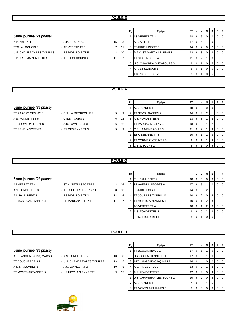#### **POULE E**

#### 6ème journée (2è phase)

| A.P. ABILLY 1              | $-$ A.P. S |
|----------------------------|------------|
| TTC du LOCHOIS 2           | - AS VE    |
| U.S. CHAMBRAY-LES-TOURS 3  | - ESRII    |
| P.P.C. ST MARTIN LE BEAU 1 | $-TTST$    |
|                            |            |

| - A.P. ST SENOCH 1  |  |
|---------------------|--|
| - AS VERETZ TT 3    |  |
| - ES RIDELLOIS TT 5 |  |
| - TT ST GENOUPH 4   |  |

|                                        |                     |    |    | Rg | Equipe                             | PT I            | JI  |            | VIN            | D              | PIF            |
|----------------------------------------|---------------------|----|----|----|------------------------------------|-----------------|-----|------------|----------------|----------------|----------------|
| 6èm <u>e journée</u> (2è <i>phase)</i> |                     |    |    |    | AS VERETZ TT 3                     | 18              |     |            | 6 6 0          | 0              | 0 <sup>1</sup> |
| A.P. ABILLY 1                          | - A.P. ST SENOCH 1  | 15 | 3  |    | A.P. ABILLY 1                      | 17 <sup>1</sup> |     | 65         |                | 0              | 0 <sub>0</sub> |
| TTC du LOCHOIS 2                       | - AS VERETZ TT 3    |    | 11 | 3  | <b>ES RIDELLOIS TT 5</b>           | 14              |     | 64         | $\Omega$       | $\overline{2}$ | 0 <sub>0</sub> |
| U.S. CHAMBRAY-LES-TOURS 3              | - ES RIDELLOIS TT 5 | 8  | 10 | 4  | <b>IP.P.C. ST MARTIN LE BEAU 1</b> | 12 <sup>2</sup> |     |            | 6 3 0          | -3             | 0 <sub>0</sub> |
| P.P.C. ST MARTIN LE BEAU 1             | - TT ST GENOUPH 4   | 11 |    | 5  | <b>TT ST GENOUPH 4</b>             | 11              |     | $6 \mid 2$ |                | -3             | 0 <sub>0</sub> |
|                                        |                     |    |    |    | 6 U.S. CHAMBRAY-LES-TOURS 3        | 8               | 6 I |            | $\mathbf 0$    | -5             | 0 <sub>0</sub> |
|                                        |                     |    |    |    | A.P. ST SENOCH 1                   | 8               | 6 I |            | $\overline{0}$ | -5             | $01$ 0         |
|                                        |                     |    |    | -  | <b>TTC du LOCHOIS 2</b>            | 8               | 6   |            |                | 5              | $\overline{0}$ |

#### **POULE F**

#### 6ème journée (2è phase)

- A.S. FONDETTES 6 C.E.S. TOURS 2 6 12 TT CORMERY-TRUYES 3 - A.S. LUYNES T.T 3 6 12
- TT PARCAY MESLAY 4 C.S. LA MEMBROLLE 3 9
	-
- TT SEMBLANCEEN 2 ES OESIENNE TT 3 3

| Rg | Equipe                     | PT | J | v | N | D        | P | F        |
|----|----------------------------|----|---|---|---|----------|---|----------|
| 1  | A.S. LUYNES T.T 3          | 18 | 6 | 6 | 0 | $\Omega$ | 0 | 0        |
| 2  | TT SEMBLANCEEN 2           | 14 | 6 | 3 | 2 | 1        | 0 | 0        |
| 3  | A.S. FONDETTES 6           | 13 | 6 | 3 | 1 | 2        | 0 | 0        |
|    | TT PARCAY MESLAY 4         | 13 | 6 | 3 | 1 | 2        | 0 | 0        |
| 5  | C.S. LA MEMBROLLE 3        | 11 | 6 | 2 | 1 | 3        | 0 | $\Omega$ |
| 6  | <b>ES OESIENNE TT 3</b>    | 10 | 6 | 1 | 2 | 3        | 0 | $\Omega$ |
| 7  | <b>TT CORMERY-TRUYES 3</b> | 9  | 6 | 1 | 1 | 4        | 0 | 0        |
| 8  | C.E.S. TOURS 2             | 8  | 6 | 1 | O | 5        | 0 |          |
|    |                            |    |   |   |   |          |   |          |

#### **POULE G**

#### 6ème journée (2è phase)

- A.S. FONDETTES 8 TT JOUE LES TOURS 11 8 1 P.L. PAUL BERT 2 - ES RIDELLOIS TT 3 13 TT MONTS ARTANNES 4 - EP MARIGNY RILLY 1 11
- AS VERETZ TT 4  **ST AVERTIN SPORTS 6** 2 1
	-
	- -

|                | Rg | Equipe               | PT | J | v        | N        | D | P | F        |
|----------------|----|----------------------|----|---|----------|----------|---|---|----------|
|                |    | P.L. PAUL BERT 2     | 18 | 6 | 6        | 0        | 0 | O | $\Omega$ |
| 16             | 2  | ST AVERTIN SPORTS 6  | 17 | 6 | 5        |          | 0 | O | $\Omega$ |
| 10             | 3  | ES RIDELLOIS TT 3    | 14 | 6 | 3        | 2        |   | O | $\Omega$ |
| 5              | 4  | TT JOUE LES TOURS 11 | 10 | 6 | 2        | $\Omega$ | 4 | O | 0        |
| $\overline{7}$ |    | TT MONTS ARTANNES 4  | 10 | 6 | 1        | 2        | 3 | O | $\Omega$ |
|                |    | AS VERETZ TT 4       | 10 | 6 | 1        | 2        | 3 | O | $\Omega$ |
|                | 7  | A.S. FONDETTES 8     | 9  | 6 | $\Omega$ | 3        | 3 | 0 | $\Omega$ |
|                | 8  | EP MARIGNY RILLY 1   | 8  | 6 |          | O        | 5 |   |          |

#### **POULE H**

|  | <u>6ème journée</u> (2è phase) |
|--|--------------------------------|
|  |                                |

| A.S. FONDETTES 7 |
|------------------|
|------------------|

- 
- -

|                                |                             |    |    | Rg | Equipe                      | PT I            | J                  |     | N              | D | PIF     |
|--------------------------------|-----------------------------|----|----|----|-----------------------------|-----------------|--------------------|-----|----------------|---|---------|
| 6ème journée <i>(2è phase)</i> |                             |    |    |    | <b>TT BOUCHARDAIS 1</b>     | 17 <sup>1</sup> | 6                  | - 5 |                | 0 | $01$ 0  |
| ATT LANGEAIS-CINQ MARS 4       | - A.S. FONDETTES 7          | 10 | 8  |    | US NICOLAISIENNE TT 1       | 17 I            | 6                  | -5  |                | 0 | $01$ 0  |
| TT BOUCHARDAIS 1               | - U.S. CHAMBRAY-LES-TOURS 2 | 13 | 5  |    | ATT LANGEAIS-CINQ MARS 4    |                 | $14 \mid 6 \mid$   | 4   |                | 2 | $0$   0 |
| A.S.T.T. ESVRES 3              | - A.S. LUYNES T.T 2         | 10 | 8  |    | 4 A.S.T.T. ESVRES 3         |                 | $13 \mid 6 \mid 3$ |     |                | 2 | $01$ 0  |
| TT MONTS ARTANNES 5            | - US NICOLAISIENNE TT 1     | 3  | 15 |    | 5 A.S. FONDETTES 7          |                 | $12$ 6 3           |     | $\overline{0}$ | 3 | $01$ 0  |
|                                |                             |    |    |    | 6 U.S. CHAMBRAY-LES-TOURS 2 |                 | $10 \mid 6 \mid 2$ |     | $\mathbf 0$    | 4 | $01$ 0  |
|                                |                             |    |    |    | A.S. LUYNES T.T 2           |                 |                    | 60  |                | 5 | $01$ 0  |
|                                |                             |    |    | 8  | <b>TT MONTS ARTANNES 5</b>  | 6 I             | 6                  |     |                | 6 | $01$ 0  |

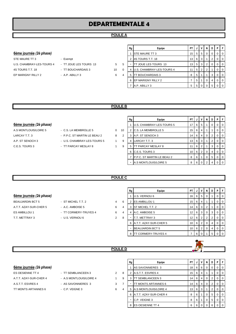#### **POULE A**

#### **6ème journée** (2è phase)

STE MAURE TT 3 Fxempt U.S. CHAMBRAY-LES-TOURS 4 - TT JOUE LES TOURS 13 5 4S TOURS T.T. 18 <sup>-</sup> TT BOUCHARDAIS 3 10 EP MARIGNY RILLY 2 - A.P. ABILLY 3 6

- -
- -

|   | Rg | Equipe                    | PT | J | ν              | N              | D        | Ρ        | F        |
|---|----|---------------------------|----|---|----------------|----------------|----------|----------|----------|
|   |    | <b>STE MAURE TT 3</b>     | 15 | 5 | 5              | $\Omega$       | $\Omega$ | 0        | $\Omega$ |
|   | 2  | 4S TOURS T.T. 18          | 13 | 6 | 3              |                | 2        | 0        | $\Omega$ |
| 5 |    | ITT JOUE LES TOURS 13     | 13 | 5 | 3              | $\overline{2}$ | $\Omega$ | 0        | $\Omega$ |
| ∩ | 4  | U.S. CHAMBRAY-LES-TOURS 4 | 11 | 5 | $\overline{2}$ | $\overline{2}$ | 1        | 0        | $\Omega$ |
| 4 | 5  | TT BOUCHARDAIS 3          | 8  | 5 | 1              |                | 3        | 0        | $\Omega$ |
|   | 6  | EP MARIGNY RILLY 2        |    | 5 | 1              | $\Omega$       | 4        | $\Omega$ | $\Omega$ |
|   |    | A.P. ABILLY 3             | 5  | 5 | 0              | 0              | 5        | 0        | $\Omega$ |

#### **POULE B**

## 6ème journée *(2è phase)*

- A.S MONTLOUIS/LOIRE 5 C.S. LA MEMBROLLE 5 0 1 A.P. ST SENOCH 3 - U.S. CHAMBRAY-LES-TOURS 5 4 C.E.S. TOURS 3 - TT PARCAY MESLAY 8 1
- LARCAY T.T. 3 **EXECUTE:** P.P.C. ST MARTIN LE BEAU 2 8
	-
	-

|   | Rg | Equipe                     | PT | J. | v              | N | D              | P | F        |
|---|----|----------------------------|----|----|----------------|---|----------------|---|----------|
|   | 1  | U.S. CHAMBRAY-LES-TOURS 5  | 17 | 6  | 5              | 1 | O              | 0 | $\Omega$ |
| O | 2  | C.S. LA MEMBROLLE 5        | 15 | 6  | 4              |   |                | 0 | $\Omega$ |
| 2 | 3  | A.P. ST SENOCH 3           | 14 | 6  | 4              | 0 | 2              | 0 | $\Omega$ |
| 9 | 4  | LARCAY T.T. 3              | 13 | 6  | 3              |   | $\overline{2}$ | 0 | $\Omega$ |
| 9 | 5  | TT PARCAY MESLAY 8         | 11 | 6  | $\overline{2}$ |   | 3              | 0 | $\Omega$ |
|   | 6  | C.E.S. TOURS 3             | 10 | 6  | $\overline{2}$ | 0 | 4              | 0 | $\Omega$ |
|   | 7  | P.P.C. ST MARTIN LE BEAU 2 | 8  | 6  |                | O | 5              | O | $\Omega$ |
|   |    | A.S MONTLOUIS/LOIRE 5      | 8  | 6  |                | 2 |                |   |          |

#### **POULE C**

**POULE D**

|                     |   |   | ĸu |               |
|---------------------|---|---|----|---------------|
|                     |   |   |    | U.S. VI       |
| ST MICHEL T.T. 2    | 4 | 6 | 2  | ES AM         |
| A.C. AMBOISE 5      | 6 | 4 | 3  | <b>ST MIC</b> |
| TT CORMERY-TRUYES 4 | 6 | 4 | 4  | $A.C.$ Af     |
| U.S. VERNOU 6       | 2 | 8 |    | t.t. mi       |
|                     |   |   | 6  |               |
|                     |   |   |    |               |

|                                |                       |   |   | Rg | Equipe                     | PTIJI    |                       | VN    |                | D | <b>P</b> F     |
|--------------------------------|-----------------------|---|---|----|----------------------------|----------|-----------------------|-------|----------------|---|----------------|
| <u>6ème journée</u> (2è phase) |                       |   |   |    | U.S. VERNOU 6              | $16$ 6 5 |                       |       | 0              |   | $01$ 0         |
| BEAUJARDIN BCT 5               | - ST MICHEL T.T. 2    | 4 | 6 |    | <b>IES AMBILLOU 1</b>      |          | $15 \ 6 \ 4$          |       |                |   | $01$ 0         |
| A.T.T. AZAY-SUR-CHER 5         | - A.C. AMBOISE 5      | 6 | 4 |    | <b>ST MICHEL T.T. 2</b>    | 14 I     |                       | 6 3   | 2              |   | 0 <sup>1</sup> |
| ES AMBILLOU 1                  | - TT CORMERY-TRUYES 4 | 6 | 4 |    | A.C. AMBOISE 5             | 12 I     |                       | 6 3 1 | $\Omega$       | 3 | 0 <sup>1</sup> |
| T.T. METTRAY 3                 | - U.S. VERNOU 6       | 2 | 8 |    | T.T. METTRAY 3             | 12 I     |                       | 6   2 | $\overline{2}$ | 2 | 0 <sup>1</sup> |
|                                |                       |   |   | 6  | A.T.T. AZAY-SUR-CHER 5     |          | $10 \quad 6 \quad 2$  |       | $\overline{0}$ | 4 | 0 <sup>1</sup> |
|                                |                       |   |   |    | <b>BEAUJARDIN BCT 5</b>    |          | $10$ 6 $\overline{2}$ |       | $\overline{0}$ | 4 | $01$ 0         |
|                                |                       |   |   | 8  | <b>TT CORMERY-TRUYES 4</b> |          | 6 I                   |       |                | 5 | $0$   0        |



#### 6ème journée (2è phase)

| <b>ES OESIENNE TT 4</b> |
|-------------------------|
| A.T.T. AZAY-SUR-CHER 4  |
| A.S.T.T. ESVRES 4       |
| TT MONTS ARTANNES 6     |

- TT SEMBLANCEEN 3 2
- A.S MONTLOUIS/LOIRE 4 1
- AS SAVONNIERES 3 3
- C.P. VEIGNE 3 6

|   | Rg | Equipe                  | PT |   | ٧ | N        | D              | Р | F |
|---|----|-------------------------|----|---|---|----------|----------------|---|---|
|   | 1  | AS SAVONNIERES 3        | 18 | 6 | 6 | $\Omega$ | 0              | 0 | 0 |
| 8 | 2  | A.S.T.T. ESVRES 4       | 15 | 6 | 4 | 1        |                | O | 0 |
| 9 | 3  | TT SEMBLANCEEN 3        | 14 | 6 | 4 | $\Omega$ | 2              | 0 | 0 |
| 7 |    | TT MONTS ARTANNES 6     | 14 | 6 | 4 | $\Omega$ | $\overline{2}$ | 0 | 0 |
| 4 | 5  | A.S MONTLOUIS/LOIRE 4   | 13 | 6 | 3 | 1        | 2              | 0 | 0 |
|   | 6  | A.T.T. AZAY-SUR-CHER 4  | 8  | 6 | 1 | $\Omega$ | 5              | 0 | 0 |
|   | -  | C.P. VEIGNE 3           | 8  | 6 | 1 | 0        | 5              | O | 0 |
|   | 8  | <b>ES OESIENNE TT 4</b> | 6  | 6 | ი | ი        | 6              |   |   |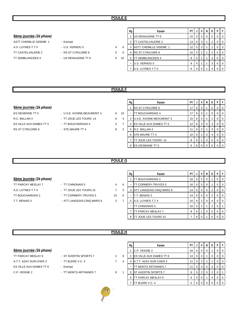#### 6ème journée (2è phase)

ASTT CHEMILLE S/DEME 1 - Exempt A.S. LUYNES T.T 5 - U.S. VERNOU 5 4 TT CASTELVALERIE 2 - RS ST CYR/LOIRE 8 5 TT SEMBLANCEEN 4 - US RENAUDINE TT 6 0 1

- -

|    | Rg             | Equipe                        | PT | J | ۷        | N | D              | P        | F        |
|----|----------------|-------------------------------|----|---|----------|---|----------------|----------|----------|
|    |                | US RENAUDINE TT 6             | 15 | 5 | 5        | 0 | 0              | 0        | $\Omega$ |
|    | $\overline{2}$ | TT CASTELVALERIE 2            | 13 | 6 | 3        | 1 | 2              | 0        | $\Omega$ |
| 6  | 3              | <b>ASTT CHEMILLE S/DEME 1</b> | 12 | 5 | 3        | 1 | 1              | $\Omega$ | $\Omega$ |
| 5  | 4              | <b>RS ST CYR/LOIRE 8</b>      | 10 | 5 | 2        | 1 | $\overline{2}$ | 0        | 0        |
| ١Ο | 5              | TT SEMBLANCEEN 4              | 8  | 5 | 1        | 1 | 3              | 0        | $\Omega$ |
|    | -              | U.S. VERNOU 5                 | 8  | 5 | 1        | 1 | 3              | 0        | 0        |
|    | 7              | A.S. LUYNES T.T 5             | 6  | 5 | $\Omega$ | 1 | 4              | 0        | 0        |
|    |                |                               |    |   |          |   |                |          |          |

#### **POULE F**

#### 6ème journée (2è phase)

- R.C. BALLAN 4 TT JOUE LES TOURS 14 6 4 ES VILLE AUX DAMES TT 5 - TT BOUCHARDAIS 4 3 7 RS ST CYR/LOIRE 6 - STE MAURE TT 4 3 2
- ES OESIENNE TT 5 U.S.E. AVOINE-BEAUMONT 3 0 10
	-
	-
- 

| Rg | Equipe                   | PT | J | v              | N        | D | P |   |
|----|--------------------------|----|---|----------------|----------|---|---|---|
|    | <b>RS ST CYR/LOIRE 6</b> | 17 | 6 | 5              | 1        | 0 | 0 |   |
|    | TT BOUCHARDAIS 4         | 17 | 6 | 5              | 1        | 0 | 0 | 0 |
| 3  | U.S.E. AVOINE-BEAUMONT 3 | 15 | 6 | 4              | 1        |   | O | 0 |
| 4  | ES VILLE AUX DAMES TT 5  | 12 | 6 | 3              | $\Omega$ | 3 | 0 | 0 |
| 5  | R.C. BALLAN 4            | 11 | 6 | $\overline{2}$ | 1        | 3 | O | 0 |
| 6  | STE MAURE TT 4           | 10 | 6 | $\overline{2}$ | $\Omega$ | 4 | 0 |   |
| 7  | TT JOUE LES TOURS 14     | 8  | 6 | 1              | 0        | 5 | 0 | 0 |
| 8  | ES OESIENNE TT 5         | 6  | 6 | $\Omega$       | 0        | 6 | O |   |

#### **POULE G**

#### 6ème journée (2è phase)

- A.S. LUYNES T.T 4 TT JOUE LES TOURS 15 TT BOUCHARDAIS 2 - TT CORMERY-TRUYES 5 10 T.T. BENAIS 3 - ATT LANGEAIS-CINQ MARS 6 3
- TT PARCAY MESLAY 7 TT CHINONAIS 5 4
	-
	-
	-

|                | Rg | Equipe                   | PT | J | v              | N        | D              | P        | F        |
|----------------|----|--------------------------|----|---|----------------|----------|----------------|----------|----------|
|                | 1  | TT BOUCHARDAIS 2         | 16 | 6 | 5              | $\Omega$ |                | 0        | 0        |
| 6              |    | TT CORMERY-TRUYES 5      | 16 | 6 | 5              | $\Omega$ |                | 0        | 0        |
| 3              | 3  | ATT LANGEAIS-CINQ MARS 6 | 14 | 6 | 4              | $\Omega$ | 2              | $\Omega$ | 0        |
| $\Omega$       |    | T.T. BENAIS 3            | 14 | 6 | 4              | $\Omega$ | 2              | $\Omega$ | $\Omega$ |
| $\overline{7}$ | 5  | A.S. LUYNES T.T 4        | 10 | 6 | $\overline{2}$ | 0        | 4              | $\Omega$ | $\Omega$ |
|                | -  | <b>TT CHINONAIS 5</b>    | 10 | 6 | $\overline{2}$ | 1        | $\overline{2}$ | $\Omega$ |          |
|                | 7  | TT PARCAY MESLAY 7       | 8  | 6 |                | O        | 5              | $\Omega$ | $\Omega$ |
|                | 8  | TT JOUE LES TOURS 15     | 7  | 6 |                |          | 5              | O        | O        |

#### **POULE H**

| <u>6ème journée (2è phase)</u> |
|--------------------------------|
| TT PARCAY MESLAY 6             |
|                                |

- 
- -

|                                |                       |                      |   | Rg | Equipe                          | PT I |                | V              | N         | D I            | PIF |                |
|--------------------------------|-----------------------|----------------------|---|----|---------------------------------|------|----------------|----------------|-----------|----------------|-----|----------------|
| 6ème journée <i>(2è phase)</i> |                       |                      |   |    | C.P. VEIGNE 2                   | 16   |                | 6 5 1          |           |                |     | ΙO             |
| TT PARCAY MESLAY 6             | - ST AVERTIN SPORTS 7 | $\mathbf{2}^{\circ}$ | 8 |    | <b>IES VILLE AUX DAMES TT 6</b> | 14   | 5 <sub>1</sub> | $\overline{4}$ |           |                |     | I 0            |
| A.T.T. AZAY-SUR-CHER 3         | - TT BLERE V.C. 4     |                      | 3 |    | A.T.T. AZAY-SUR-CHER 3          | 11   | 5 I            | 2              | 2         |                |     | I 0            |
| ES VILLE AUX DAMES TT 6        | - Exempt              |                      |   |    | <b>IT MONTS ARTANNES 7</b>      | 11   |                | 5 3            | $\circ$ 1 | <sup>2</sup>   |     | $\overline{0}$ |
| C.P. VEIGNE 2                  | - TT MONTS ARTANNES 7 | 9                    |   |    | 5 IST AVERTIN SPORTS 7          | 8    | 5 <sub>1</sub> | 2 <sup>1</sup> |           | 2 <sup>1</sup> |     |                |
|                                |                       |                      |   | 6  | <b>TT PARCAY MESLAY 6</b>       | 6    |                | 5 0            |           | $\overline{4}$ |     | <b>10</b>      |
|                                |                       |                      |   |    | T BLERE V.C. 4                  | 5    |                | 5 0            |           | 5 <sub>1</sub> |     | $\overline{0}$ |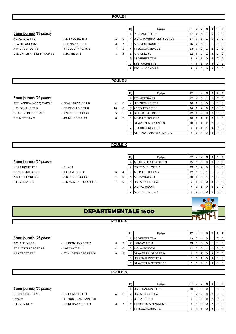|                           |                     |                |   | Rg | Equipe                    | PT              |             | $\mathsf{v}$   | N              | D                     | PF             |             |
|---------------------------|---------------------|----------------|---|----|---------------------------|-----------------|-------------|----------------|----------------|-----------------------|----------------|-------------|
| 6ème journée (2è phase)   |                     |                |   | 1  | P.L. PAUL BERT 3          | 17              | 6           | 5              |                | 0                     | 0              | 0           |
| AS VERETZ TT 5            | - P.L. PAUL BERT 3  | $\mathbf{1}$   | 9 | ۰  | U.S. CHAMBRAY-LES-TOURS 6 | 17              | 6           | 5              |                | 0                     | $\mathbf 0$    | $\mathbf 0$ |
| TTC du LOCHOIS 3          | - STE MAURE TT 5    | 3              | 7 |    | 3 A.P. ST SENOCH 2        | 15 <sub>1</sub> | 6           | 4              |                |                       | $\overline{0}$ | 0           |
| A.P. ST SENOCH 2          | - TT BOUCHARDAIS 5  | $\overline{7}$ | 3 | 4  | <b>TT BOUCHARDAIS 5</b>   | 13              | 6           | 3              |                | $\overline{2}$        | $\mathbf 0$    | 0           |
| U.S. CHAMBRAY-LES-TOURS 6 | - A.P. ABILLY 2     | 8              | 2 |    | 5 A.P. ABILLY 2           | 12              | 6           | 2              | 2              | 2                     | 0              | 0           |
|                           |                     |                |   |    | 6 AS VERETZ TT 5          | 8               | 6           |                | $\mathbf 0$    | 5                     | $\mathbf 0$    | 0           |
|                           |                     |                |   |    | 7 STE MAURE TT 5          | $\overline{7}$  | 6           |                | $\overline{0}$ | 4                     | 0              |             |
|                           |                     |                |   |    | 8 TTC du LOCHOIS 3        | 4               | 6           | $\overline{0}$ | $\overline{0}$ | 4                     | 0 <sub>1</sub> |             |
|                           |                     |                |   |    |                           |                 |             |                |                |                       |                |             |
|                           |                     | <b>POULE J</b> |   |    |                           |                 |             |                |                |                       |                |             |
|                           |                     |                |   |    |                           |                 |             |                |                |                       |                |             |
|                           |                     |                |   | Rg | Equipe                    | PT              | J           | V              | N              | $\bullet$ D $\bullet$ | PF             |             |
| 6ème journée (2è phase)   |                     |                |   |    | 1 T.T. METTRAY 2          | 17              | 6           | 5 <sup>5</sup> |                | $\mathbf 0$           | $\overline{0}$ | $\Omega$    |
| ATT LANGEAIS-CINQ MARS 7  | - BEAUJARDIN BCT 6  | 4              | 6 |    | 2 U.S. GENILLE TT 3       | 16 <sup>1</sup> | 6           | 5 <sup>5</sup> | $\overline{0}$ |                       | $\overline{0}$ | 0           |
| U.S. GENILLE TT 3         | - ES RIDELLOIS TT 6 | 10             | 0 |    | 3 4S TOURS T.T. 19        |                 | $14 \mid 6$ | $\overline{4}$ | $\overline{0}$ | $\overline{2}$        | 0 <sup>1</sup> |             |

**Rg Equipe PT J V N D P F** ST AVERTIN SPORTS 8 - A.S.P.T.T. TOURS 1 5 5 4 BEAUJARDIN BCT 6 12 6 3 0 3 0 3 0 0 T.T. METTRAY 2 - 4S TOURS T.T. 19 8 2 5 A.S.P.T.T. TOURS 1 10 6 1 2 3 0 0 - ST AVERTIN SPORTS 8 10 6 1 2 3 0 0 7 ES RIDELLOIS TT 6 9 6 1 1 4 0 0 8 ATT LANGEAIS-CINQ MARS 7 8 6 0 2 4 0

#### **POULE K**

|                          |                         |   |   | Rg | Equipe                   | <b>PT</b> |                |                | N              | D | PIF |                  |
|--------------------------|-------------------------|---|---|----|--------------------------|-----------|----------------|----------------|----------------|---|-----|------------------|
| 6ème journée (2è phase)  |                         |   |   |    | A.S MONTLOUIS/LOIRE 3    | 15        | 5              | -5             |                |   |     | $\overline{0}$   |
| US LA RICHE TT 3         | - Exempt                |   |   |    | <b>RS ST CYR/LOIRE 7</b> | 13        | 5 <sup>5</sup> | 4              |                |   |     | $\overline{1}$ 0 |
| <b>RS ST CYR/LOIRE 7</b> | - A.C. AMBOISE 4        | 6 | 4 |    | A.S.P.T.T. TOURS 2       | 12        | 5 <sub>1</sub> |                |                |   |     | $\overline{0}$   |
| A.S.T.T. ESVRES 5        | - A.S.P.T.T. TOURS 2    |   | 9 |    | A.C. AMBOISE 4           | 10        | 5              |                |                |   |     | $\overline{1}$ 0 |
| U.S. VERNOU 4            | - A.S MONTLOUIS/LOIRE 3 |   | 9 |    | US LA RICHE TT 3         | 9         | 5 <sup>5</sup> | 2 <sub>1</sub> | $\overline{0}$ |   |     | 0 I O            |
|                          |                         |   |   |    | U.S. VERNOU 4            |           | 5              |                | $\Omega$       | 4 |     | $\overline{0}$   |
|                          |                         |   |   |    | A.S.T.T. ESVRES 5        | 6         | 6              |                | $\Omega$       |   |     | 0 <sub>0</sub>   |





#### 5ème journée (2è phase)

- 
- A.C. AMBOISE 6 US RENAUDINE TT 7 8 ST AVERTIN SPORTS 9 - LARCAY T.T. 4 4 4
- AS VERETZ TT 6  $\overline{a}$  ST AVERTIN SPORTS 10  $\overline{a}$

|   | Rg | Equipe                     | PT | J | V              | N | D | P | F |
|---|----|----------------------------|----|---|----------------|---|---|---|---|
|   |    | AS VERETZ TT 6             | 13 | 5 | 4              | 0 |   | 0 | 0 |
| 2 | 2  | LARCAY T.T. 4              | 13 | 5 | 4              | 0 |   | 0 | 0 |
| 6 | 3  | A.C. AMBOISE 6             | 12 | 5 | 3              | 1 |   | 0 | 0 |
| 2 | 4  | <b>ST AVERTIN SPORTS 9</b> | 9  | 5 | $\overline{2}$ | 0 | 3 | 0 | 0 |
|   | 5  | US RENAUDINE TT 7          | 7  | 5 | 1              | 0 | 4 | 0 | 0 |
|   | 6  | ST AVERTIN SPORTS 10       | 6  | 5 | 0              |   | 4 | Ω | U |

#### **POULE B**

|                         |                     |  | . | — 1 <del>- 1</del> -      |   |  |  |  |
|-------------------------|---------------------|--|---|---------------------------|---|--|--|--|
| Sème journée (2è phase) |                     |  |   | <b>JUS RENAUDINE TT 8</b> |   |  |  |  |
| TT BOUCHARDAIS 6        | US LA RICHE TT 4    |  |   | US LA RICHE TT 4          |   |  |  |  |
| Exempt                  | TT MONTS ARTANNES 8 |  |   | IC.P. VEIGNE 4            | ∸ |  |  |  |

C.P. VEIGNE 4 - US RENAUDINE TT 8 3

|   | Rg | Equipe                      | PT |   |   |   | D |  |
|---|----|-----------------------------|----|---|---|---|---|--|
|   |    | US RENAUDINE TT 8           | 10 | 4 | 3 |   |   |  |
| 6 | 2  | US LA RICHE TT 4            | 8  | 4 |   | ≘ |   |  |
|   | 3  | C.P. VEIGNE 4               | 8  | 4 | ◠ | າ |   |  |
| 7 | 4  | <b>ITT MONTS ARTANNES 8</b> | 8  | 4 |   | ≘ |   |  |
|   | 5  | TT BOUCHARDAIS 6            | 6  | 4 |   | ว |   |  |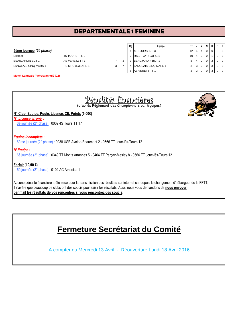# **DEPARTEMENTALE 1 FEMININE**

#### **5ème journée** (2è phase)

| Exempt                  |
|-------------------------|
| <b>BEAUJARDIN BCT 1</b> |
| LANGEAIS-CINQ MARS 1    |

 $-4S$  TOURS T.T. 3 - AS VERETZ TT 1 7 3 - RS ST CYR/LOIRE 1 3 7

| 7 |
|---|
| 3 |

| Rg | Equipe                   | PT |   | v | N        | D | P | F        |
|----|--------------------------|----|---|---|----------|---|---|----------|
| 1  | 4S TOURS T.T. 3          | 12 | 4 | 4 | 0        | 0 | 0 | 0        |
| 2  | <b>RS ST CYR/LOIRE 1</b> | 10 | 4 | 3 | $\Omega$ |   | 0 | $\Omega$ |
| 3  | <b>BEAUJARDIN BCT 1</b>  | 8  | 4 | 2 | 0        | 2 | 0 | $\Omega$ |
| 4  | LANGEAIS-CINQ MARS 1     | 3  | 3 | 0 | 0        | 3 | 0 | $\Omega$ |
| 5  | AS VERETZ TT 1           | 3  | 3 | 0 | ი        | 3 | 0 | $\Omega$ |

**Match Langeais / Véretz annulé (J2)**

| Pépalités financières<br>(d'après Règlement des Championnats par Equipes)                                                              |
|----------------------------------------------------------------------------------------------------------------------------------------|
| N° Club, Equipe, Poule, Licence, Clt, Points (5,00€)                                                                                   |
| N° Licence erroné :                                                                                                                    |
| 6è journée (2° phase) : 0002 4S Tours TT 17                                                                                            |
|                                                                                                                                        |
| <b>Equipe Incomplète:</b>                                                                                                              |
| 6ème journée (2° phase) : 0038 USE Avoine-Beaumont 2 - 0566 TT Joué-lès-Tours 12                                                       |
| N°Equipe:                                                                                                                              |
| 6è journée (2° phase) : 0349 TT Monts Artannes 5 - 0464 TT Parçay-Meslay 8 - 0566 TT Joué-lès-Tours 12                                 |
|                                                                                                                                        |
| Forfait (10,00 €) :                                                                                                                    |
| 6è journée (2° phase) : 0102 AC Amboise 1                                                                                              |
|                                                                                                                                        |
| Aucune pénalité financière a été mise pour la transmission des résultats sur internet car depuis le changement d'hébergeur de la FFTT, |
| il s'avère que beaucoup de clubs ont des soucis pour saisir les résultats. Aussi nous vous demandons de nous envoyer                   |
| par mail les résultats de vos rencontres si vous rencontrez des soucis.                                                                |

# **Fermeture Secrétariat du Comité**

A compter du Mercredi 13 Avril - Réouverture Lundi 18 Avril 2016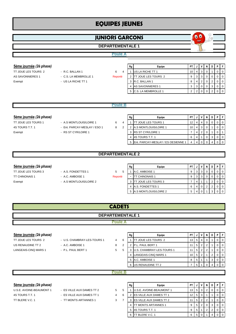# **EQUIPES JEUNES**

# **JUNIORS GARCONS**

#### **DEPARTEMENTALE 1**

#### **Poule A**

- 
- 

| 5ème journée (2è phase) |                       |         | Rg | Equipe                     | PT I            | JIV        |  | PIF            |
|-------------------------|-----------------------|---------|----|----------------------------|-----------------|------------|--|----------------|
| TT JOUE LES TOURS 2     | - R.C. BALLAN 1       | 6<br>≖  |    | <b>US LA RICHE TT 1</b>    | 10 <sub>1</sub> | 4 3        |  |                |
| AS SAVONNIERES 1        | - C.S. LA MEMBROLLE 1 | Reporté |    | <b>TT JOUE LES TOURS 2</b> | 9               | $3 \mid 3$ |  | I 0            |
| Exempt                  | - US LA RICHE TT 1    |         |    | 3 R.C. BALLAN 1            |                 |            |  | $\overline{0}$ |
|                         |                       |         |    | <b>AS SAVONNIERES 1</b>    | 3               | 3   0      |  | $\overline{0}$ |
|                         |                       |         |    | <b>C.S. LA MEMBROLLE 1</b> |                 |            |  | <b>10</b>      |

 $\bullet$ 

#### **5ème journée** (2è phase)

4S TOURS T.T. 1 - Ent. PARCAY-MESLAY / ESO 1 8 Exempt - RS ST CYR/LOIRE 1

- TT JOUE LES TOURS 1 A.S MONTLOUIS/LOIRE 1 6
	-

|                | Rg | Equipe                             | PT | u |                | N | D | Р |   |
|----------------|----|------------------------------------|----|---|----------------|---|---|---|---|
| $\overline{4}$ |    | <b>TT JOUE LES TOURS 1</b>         | 12 | 4 | 4              | 0 | 0 | O | O |
| 2              | 2  | A.S MONTLOUIS/LOIRE 1              | 10 | 4 | 3              | 0 |   |   | O |
|                | 3  | <b>RS ST CYR/LOIRE 1</b>           |    |   | $\overline{2}$ | 0 |   | 0 |   |
|                | 4  | 4S TOURS T.T. 1                    | 6  | 4 |                | 0 | 3 | 0 | O |
|                | 5  | Ent. PARCAY-MESLAY / ES OESIENNE 1 | 4  | Δ | U              | O | 4 |   | O |
|                |    |                                    |    |   |                |   |   |   |   |

#### **DEPARTEMENTALE 2**

#### **5ème journée** (2è phase)

- TT JOUE LES TOURS 3 A.S. FONDETTES 1 5 5 5
	-
- Exempt A.S MONTLOUIS/LOIRE 2

| 5ème journée (2è phase) |                         |         | Rg | Equipe                    | PT |   |  |  |  |
|-------------------------|-------------------------|---------|----|---------------------------|----|---|--|--|--|
| TT JOUE LES TOURS 3     | - A.S. FONDETTES 1      | 5.      |    | A.C. AMBOISE 1            | 9  |   |  |  |  |
| TT CHINONAIS 1          | - A.C. AMBOISE 1        | Reporté |    | <b>TT CHINONAIS 1</b>     | 9  |   |  |  |  |
| Exempt                  | - A.S MONTLOUIS/LOIRE 2 |         |    | <b>T JOUE LES TOURS 3</b> |    |   |  |  |  |
|                         |                         |         |    | <b>A.S. FONDETTES 1</b>   | 6  |   |  |  |  |
|                         |                         |         |    | 5 A.S MONTLOUIS/LOIRE 2   | 5  | 4 |  |  |  |

| <b>CADETS</b>           |
|-------------------------|
| <b>DEPARTEMENTALE 1</b> |
|                         |

#### 5ème journée (2è phase)

TT JOUE LES TOURS 2 - U.S. CHAMBRAY-LES-TOURS 1 4 US RENAUDINE TT 2 - A.C. AMBOISE 1 2 3 LANGEAIS-CINQ MARS 1 - P.L. PAUL BERT 1 5

|               | Rg | Equipe                     | PT | J | ν | N | D | Ρ | F |
|---------------|----|----------------------------|----|---|---|---|---|---|---|
| 6             |    | <b>TT JOUE LES TOURS 2</b> | 13 | 5 | 4 | 0 | 1 | O | O |
| $\mathcal{P}$ | 2  | P.L. PAUL BERT 1           | 11 | 5 | 2 | 2 | 1 | 0 | 0 |
| 5             | 3  | U.S. CHAMBRAY-LES-TOURS 1  | 11 | 5 | 2 | 2 | 1 | 0 | O |
|               | 4  | LANGEAIS-CINQ MARS 1       | 10 | 5 | 2 | 1 | 2 | 0 | U |
|               | 5  | A.C. AMBOISE 1             | 8  | 5 | 1 |   | 3 | 0 | ∩ |
|               | 6  | US RENAUDINE TT 2          | 7  | 5 |   | O | 4 |   |   |
|               |    |                            |    |   |   |   |   |   |   |
| R             |    |                            |    |   |   |   |   |   |   |

#### **Poule**

#### 5ème journée (2è phase)

| U.S.E. AVOINE-BEAUMONT |
|------------------------|
| 4S TOURS T.T. 1        |
| TT BLERE V.C. 1        |

- 1 ES VILLE AUX DAMES TT 2 5 - ES VILLE AUX DAMES TT 1 4
	- TT MONTS ARTANNES 1 3

|   | Rg | Equipe                         | РT |   | v              | N | D | Ρ |  |
|---|----|--------------------------------|----|---|----------------|---|---|---|--|
| 5 |    | U.S.E. AVOINE-BEAUMONT 1       | 13 | 5 | 3              | 2 | O |   |  |
| 6 | 2  | <b>ES VILLE AUX DAMES TT 1</b> | 12 | 5 | 3              |   |   |   |  |
| 7 | 3  | ES VILLE AUX DAMES TT 2        | 11 | 5 | $\overline{2}$ | 2 |   |   |  |
|   | 4  | TT MONTS ARTANNES 1            | 9  | 5 | 2              | 0 | 3 |   |  |
|   | 5  | 4S TOURS T.T. 1                | 9  | 5 | 1              | 2 | っ |   |  |
|   | 6  | TT BLERE V.C. 1                | 6  | 5 | U              |   |   |   |  |

# **Poule B**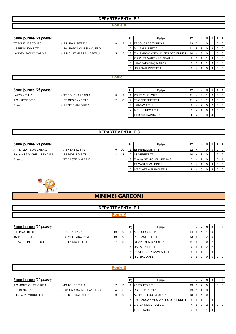#### **Poule A**

#### **5ème journée** (2è phase)

TT JOUE LES TOURS 1 - P.L. PAUL BERT 2 8 LANGEAIS-CINQ MARS 2 - P.P.C. ST MARTIN LE BEAU 1 5

- US RENAUDINE TT 1 Ent. PARCAY-MESLAY / ESO 1
	-

|               | Rg             | Eauipe                             | РT | J | ν | N        | D | Ρ        | F |
|---------------|----------------|------------------------------------|----|---|---|----------|---|----------|---|
| $\mathcal{P}$ |                | TT JOUE LES TOURS 1                | 13 | 5 | 4 | 0        | 1 | 0        | 0 |
|               | 2              | P.L. PAUL BERT 2                   | 11 | 5 | 3 | 0        | 2 | 0        | 0 |
| 5             | 3              | Ent. PARCAY-MESLAY / ES OESIENNE 1 | 10 | 4 | 3 | $\Omega$ | 1 | 0        | 0 |
|               | $\overline{4}$ | IP.P.C. ST MARTIN LE BEAU 1        | 8  | 5 | 1 | 1        | 3 | $\Omega$ | 0 |
|               | 5              | LANGEAIS-CINQ MARS 2               | 8  | 5 |   |          | 3 | $\Omega$ | 0 |
|               | 6              | US RENAUDINE TT 1                  | 6  | 4 |   | O        | 3 | O        | n |
|               |                |                                    |    |   |   |          |   |          |   |

#### **Poule B**

#### $5$ ème journée (2è phase)

- LARCAY T.T. 1 **FILLE 1** TT BOUCHARDAIS 1 8 2 A.S. LUYNES T.T 1 - ES OESIENNE TT 1 2 8
- Exempt RS ST CYR/LOIRE 1

| Rg             | Equipe                   | PΤ |   |   | N | D | Р |   |
|----------------|--------------------------|----|---|---|---|---|---|---|
|                | <b>RS ST CYR/LOIRE 1</b> | 11 | 4 | 3 |   | Ω |   | 0 |
| $\overline{2}$ | <b>ES OESIENNE TT 1</b>  | 11 | 4 | 3 |   | ი |   | 0 |
| 3              | LARCAY T.T. 1            | 8  | 4 | 2 | 0 | 2 |   | 0 |
| 4              | A.S. LUYNES T.T 1        | 6  | 4 |   | ი | 3 |   | 0 |
| 5              | TT BOUCHARDAIS 1         |    | 4 |   |   | 4 |   | 0 |

#### **DEPARTEMENTALE 3**

#### **5ème journée** (2è phase)

Entente ST MICHEL - BENAIS 1 ES RIDELLOIS TT 1 2 Exempt TT CASTELVALERIE 1



|    | Rg | Equipe                       | PT |   |   | D | D |  |
|----|----|------------------------------|----|---|---|---|---|--|
| 10 |    | <b>IES RIDELLOIS TT 1</b>    | 12 |   |   |   |   |  |
| 8  |    | <b>AS VERETZ TT 1</b>        | 10 |   | 3 |   |   |  |
|    | 3  | Entente ST MICHEL - BENAIS 1 |    |   | 2 |   |   |  |
|    |    | <b>TT CASTELVALERIE 1</b>    | 6  | 4 |   | 3 |   |  |
|    | 5  | A.T.T. AZAY-SUR-CHER 1       |    |   |   |   |   |  |



## **MINIMES GARCONS**

## **Poule A DEPARTEMENTALE 1**

#### **5ème journée** (2è phase)

4S TOURS T.T. 2 - ES VILLE AUX DAMES TT 1 10

- P.L. PAUL BERT 1 R.C. BALLAN 1 10
	-
- ST AVERTIN SPORTS 1 US LA RICHE TT 1 7 3 3 ST AVERTIN SPORTS 1 11 5 3 0 2 0 0

|          | Rg | Equipe                     | PT |   | ١ | N              | D              | P        | F        |
|----------|----|----------------------------|----|---|---|----------------|----------------|----------|----------|
| $\Omega$ |    | 4S TOURS T.T. 2            | 14 | 5 | 4 |                | 0              | 0        | $\Omega$ |
| $\Omega$ | 2  | <b>IP.L. PAUL BERT 1</b>   | 13 | 5 | 3 | $\overline{2}$ | 0              | $\Omega$ | $\Omega$ |
| 3        | 3  | <b>ST AVERTIN SPORTS 1</b> | 11 | 5 | 3 | 0              | 2              | $\Omega$ | 0        |
|          | 4  | US LA RICHE TT 1           | 9  | 5 |   | $\overline{2}$ | $\overline{2}$ | $\Omega$ | 0        |
|          | 5  | ES VILLE AUX DAMES TT 1    | 8  | 5 |   |                | 3              | 0        | 0        |
|          | 6  | R.C. BALLAN 1              | 5  | 5 | 0 |                | 5              | 0        | 0        |

#### **Poule B**

#### **5ème journée** (2è phase)

T.T. BENAIS 1 - Ent. PARCAY-MESLAY / ESO 1 4 6 C.S. LA MEMBROLLE 1 - RS ST CYR/LOIRE 1 0 10

- A.S MONTLOUIS/LOIRE 1 4S TOURS T.T. 1 7 3
	-
	-

| Rg | Equipe                             | PT |   |   |   |  |
|----|------------------------------------|----|---|---|---|--|
|    | 4S TOURS T.T. 1                    | 13 | 5 |   |   |  |
| 2  | <b>RS ST CYR/LOIRE 1</b>           | 13 | 5 |   |   |  |
| 3  | A.S MONTLOUIS/LOIRE 1              | 13 | 5 | O |   |  |
| 4  | Ent. PARCAY-MESLAY / ES OESIENNE 1 | 8  | 5 |   | 3 |  |
| 5  | C.S. LA MEMBROLLE 1                |    | 5 | 2 | 3 |  |
| 6  | T. BENAIS 1.                       | 6  | 5 |   |   |  |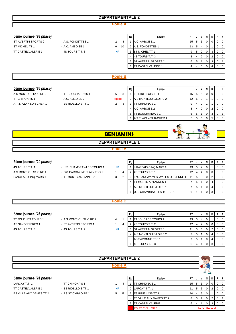#### **Poule A**

| 5ème journée (2è phase)   |                     |                     | Rg | Equipe                   | <b>PT</b>       | J              | V              | N            | D | P        | F              |
|---------------------------|---------------------|---------------------|----|--------------------------|-----------------|----------------|----------------|--------------|---|----------|----------------|
| ST AVERTIN SPORTS 2       | - A.S. FONDETTES 1  | 2<br>8              |    | A.C. AMBOISE 1           | 15              | 5              | 5              | 0            | 0 | 0        | $\mathbf 0$    |
| ST MICHEL TT 1            | - A.C. AMBOISE 1    | 10<br>$\Omega$      |    | 2 A.S. FONDETTES 1       | 13              | 5              | 4              | 0            |   | 0        | $\mathbf 0$    |
| <b>TT CASTELVALERIE 1</b> | $-4S$ TOURS T.T. 3  | <b>NP</b>           |    | 3 ST MICHEL TT 1         | 9               | 5              | 2              | 0            | 3 | 0        | $\mathbf 0$    |
|                           |                     |                     | 4  | 4S TOURS T.T. 3          | 8               | 4              | $\overline{2}$ | 0            | 2 | 0        | $\mathbf 0$    |
|                           |                     |                     |    | 5 ST AVERTIN SPORTS 2    | 6               | 5              |                | 0            | 3 | 0        |                |
|                           |                     |                     |    | 6 TT CASTELVALERIE 1     | 4               | 4              | $\Omega$       | $\Omega$     | 4 | $\Omega$ | $\Omega$       |
|                           |                     |                     |    |                          |                 |                |                |              |   |          |                |
|                           |                     | <b>Poule B</b>      |    |                          |                 |                |                |              |   |          |                |
|                           |                     |                     |    |                          |                 |                |                |              |   |          |                |
|                           |                     |                     |    |                          |                 |                |                |              |   |          |                |
| 5ème journée (2è phase)   |                     |                     | Rg | Equipe                   | <b>PT</b>       | J              | $\mathsf{v}$   | $\mathsf{N}$ | D | P.       | F              |
| A.S MONTLOUIS/LOIRE 2     | - TT BOUCHARDAIS 1  | 3<br>6              |    | <b>ES RIDELLOIS TT 1</b> | 15 <sub>1</sub> | 5              | 5              | 0            | 0 | 0        | $\mathbf 0$    |
| <b>TT CHINONAIS 1</b>     | - A.C. AMBOISE 2    | Reporté             |    | 2 A.S MONTLOUIS/LOIRE 2  | 12              | 5              | 3              |              | 1 | 0        | $\mathbf 0$    |
| A.T.T. AZAY-SUR-CHER 1    | - ES RIDELLOIS TT 1 | $\overline{2}$<br>8 |    | 3 <b>ITT CHINONAIS 1</b> | 9               | 4              | 2              |              |   | 0        | $\mathbf 0$    |
|                           |                     |                     |    | 4 A.C. AMBOISE 2         | 8               | $\overline{4}$ | 2              | 0            | 2 | 0        | $\mathbf 0$    |
|                           |                     |                     |    | 5 TT BOUCHARDAIS 1       | 6               | 5              |                | 0            | 3 | 0        | $\overline{1}$ |
|                           |                     |                     |    | 6 A.T.T. AZAY-SUR-CHER 1 | 5               | 5              | 0              | 0            | 5 | 0        | $\Omega$       |
|                           |                     |                     |    |                          |                 |                |                |              |   |          |                |
|                           |                     |                     |    |                          |                 |                |                |              |   |          |                |

#### **DEPARTEMENTALE 1**

## **Poule A**

**NP**

#### **5ème journée** (2è phase)

A.S MONTLOUIS/LOIRE 1 - Ent. PARCAY-MESLAY / ESO 1 1 LANGEAIS-CINQ MARS 1 - TT MONTS ARTANNES 1 3

- 4S TOURS T.T. 1 U.S. CHAMBRAY-LES-TOURS 1
	- -

|   | Rg | Equipe                             | PT |   | ν | N | D |  |
|---|----|------------------------------------|----|---|---|---|---|--|
|   |    | LANGEAIS-CINQ MARS 1               | 13 | 5 | 4 | 0 |   |  |
| 4 | 2  | 4S TOURS T.T. 1                    | 12 | 4 | 4 | 0 | 0 |  |
| 2 | 3  | Ent. PARCAY-MESLAY / ES OESIENNE 1 | 11 | 5 | 3 | 0 | 2 |  |
|   | 4  | TT MONTS ARTANNES 1                | 7  | 5 |   | 0 | 4 |  |
|   | 5  | A.S MONTLOUIS/LOIRE 1              |    | 5 |   | 0 | 4 |  |
|   | 6  | U.S. CHAMBRAY-LES-TOURS 1          | 6  | 4 |   |   |   |  |

 $\Gamma$  $\mathbb{R}$ 

**SL** 

#### **Poule B**

**NP**

#### **5ème journée** (2è phase)

4S TOURS T.T. 3 - 4S TOURS T.T. 2

# TT JOUE LES TOURS 1 - A.S MONTLOUIS/LOIRE 2 4 1 AS SAVONNIERES 1 - ST AVERTIN SPORTS 1 1 4

| Rg | Equipe                      | PT |   |   | N | D | Ρ |   |
|----|-----------------------------|----|---|---|---|---|---|---|
|    | <b>ITT JOUE LES TOURS 1</b> | 13 | 5 | 4 | 0 |   | 0 | 0 |
| 2  | 4S TOURS T.T. 2             | 12 | 4 | 4 | 0 | 0 | 0 | 0 |
| 3  | ST AVERTIN SPORTS 1         | 11 | 5 | 3 | 0 | 2 | 0 | 0 |
| 4  | A.S MONTLOUIS/LOIRE 2       |    | 5 |   | 0 | 4 | O | 0 |
|    | <b>AS SAVONNIERES 1</b>     |    | 5 |   | 0 | 4 | 0 | 0 |
| 6  | 4S TOURS T.T. 3             | 6  | 4 |   |   | 3 |   | 0 |

#### **5ème journée** (2è phase) **Burge PT Second Letter Second Letter PT D P F A Letter PT J V N D P F** LARCAY T.T. 1 - TT CHINONAIS 1 1 4 1 TT CHINONAIS 1 15 5 0 0 0 0 0 TT CASTELVALERIE 1 - ES RIDELLOIS TT 1  $NP$  | 2 LARCAY T.T. 1 | 11 | 5 | 3 | 0 | 2 | 0 | 0 ES VILLE AUX DAMES TT 2 - RS ST CYR/LOIRE 1 5 F 3 ES RIDELLOIS TT 1 10 4 3 0 1 0 0 4 ES VILLE AUX DAMES TT 2 8 5 2 0 2 0 1 5 TT CASTELVALERIE 1 6 4 1 0 3 0 0 RS ST CYR/LOIRE 1 **NP DEPARTEMENTALE 2** Forfait Général **Poule A**